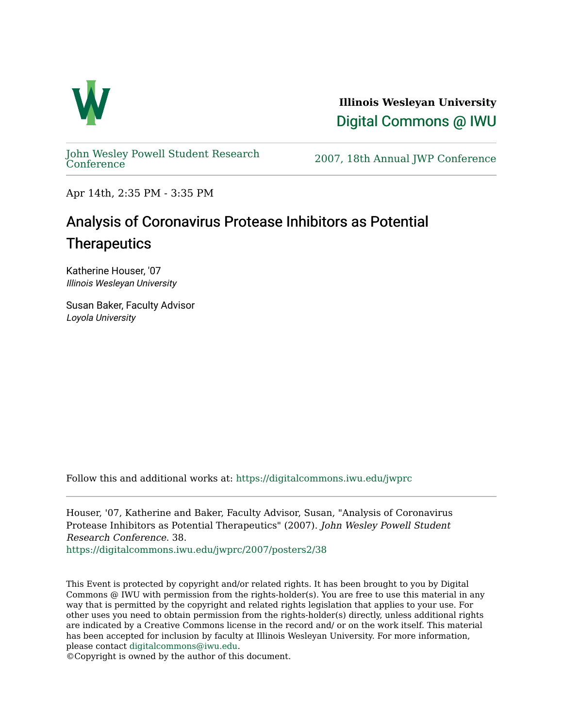

**Illinois Wesleyan University**  [Digital Commons @ IWU](https://digitalcommons.iwu.edu/) 

[John Wesley Powell Student Research](https://digitalcommons.iwu.edu/jwprc) 

2007, 18th Annual JWP [Conference](https://digitalcommons.iwu.edu/jwprc)

Apr 14th, 2:35 PM - 3:35 PM

## Analysis of Coronavirus Protease Inhibitors as Potential **Therapeutics**

Katherine Houser, '07 Illinois Wesleyan University

Susan Baker, Faculty Advisor Loyola University

Follow this and additional works at: [https://digitalcommons.iwu.edu/jwprc](https://digitalcommons.iwu.edu/jwprc?utm_source=digitalcommons.iwu.edu%2Fjwprc%2F2007%2Fposters2%2F38&utm_medium=PDF&utm_campaign=PDFCoverPages) 

Houser, '07, Katherine and Baker, Faculty Advisor, Susan, "Analysis of Coronavirus Protease Inhibitors as Potential Therapeutics" (2007). John Wesley Powell Student Research Conference. 38.

[https://digitalcommons.iwu.edu/jwprc/2007/posters2/38](https://digitalcommons.iwu.edu/jwprc/2007/posters2/38?utm_source=digitalcommons.iwu.edu%2Fjwprc%2F2007%2Fposters2%2F38&utm_medium=PDF&utm_campaign=PDFCoverPages) 

This Event is protected by copyright and/or related rights. It has been brought to you by Digital Commons @ IWU with permission from the rights-holder(s). You are free to use this material in any way that is permitted by the copyright and related rights legislation that applies to your use. For other uses you need to obtain permission from the rights-holder(s) directly, unless additional rights are indicated by a Creative Commons license in the record and/ or on the work itself. This material has been accepted for inclusion by faculty at Illinois Wesleyan University. For more information, please contact [digitalcommons@iwu.edu.](mailto:digitalcommons@iwu.edu)

©Copyright is owned by the author of this document.